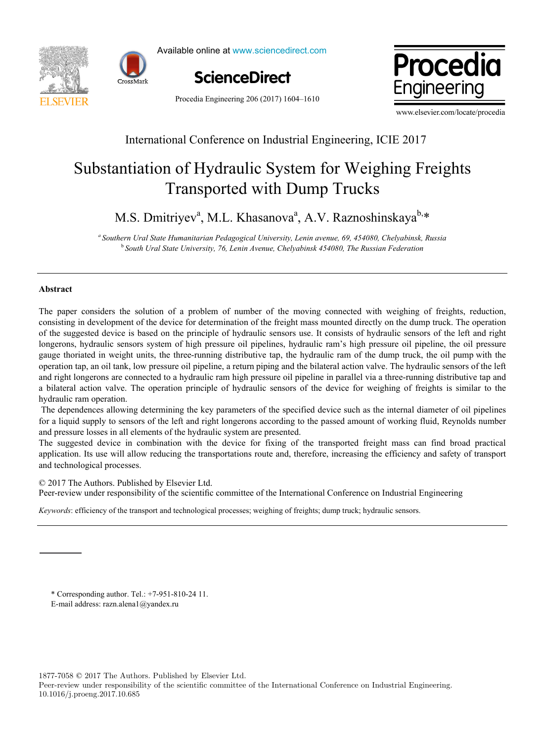



Available online at www.sciencedirect.com





Procedia Engineering 206 (2017) 1604–1610

www.elsevier.com/locate/procedia

### International Conference on Industrial Engineering, ICIE 2017

# Transported with Dump Trucks Substantiation of Hydraulic System for Weighing Freights

 $\frac{1}{1}$ M.S. Dmitriyev<sup>a</sup>, M.L. Khasanova<sup>a</sup>, A.V. Raznoshinskaya<sup>b,</sup>\*

M.S. Dmitriyev<sup>a</sup> , M.L. Khasanovaa , A.V. Raznoshinskayab,\* *a Southern Ural State Humanitarian Pedagogical University, Lenin avenue, 69, 454080, Chelyabinsk, Russia* <sup>*b*</sup> South Ural State University, 76, Lenin Avenue, Chelyabinsk 454080, The Russian Federation

#### **Abstract**

**Abstract**  consisting in development of the device for determination of the freight mass mounted directly on the dump truck. The operation of the suggested device is based on the principle of hydraulic sensors use. It consists of hydraulic sensors of the left and right longerons, hydraulic sensors system of high pressure oil pipelines, hydraulic ram's high pressure oil pipeline, the oil pressure gauge thoriated in weight units, the three-running distributive tap, the hydraulic ram of the dump truck, the oil pump with the operation tap, an oil tank, low pressure oil pipeline, a return piping and the bilateral action valve. The hydraulic sensors of the left and right longerons are connected to a hydraulic ram high pressure oil pipeline in parallel via a three-running distributive tap and a bilateral action valve. The operation principle of hydraulic sensors of the device for weighing of freights is similar to the a bilateral action value. The operation principle of hydraulic sensors of the device for weights is similar to the device for  $\alpha$ The paper considers the solution of a problem of number of the moving connected with weighing of freights, reduction, hydraulic ram operation.

The dependences allowing determining the key parameters of the specified device such as the internal diameter of oil pipelines for a liquid supply to sensors of the left and right longerons according to the passed amount of working fluid, Reynolds number and pressure losses in all elements of the hydraulic system are presented.

The suggested device in combination with the device for fixing of the transported freight mass can find broad practical application. Its use will allow reducing the transportations route and, therefore, increasing the efficiency and safety of transport and technological processes.

© 2017 The Authors. Published by Elsevier Ltd.

C 2017 The Authors. Published by Elsevier Ltd.<br>Peer-review under responsibility of the scientific committee of the International Conference on Industrial Engineering Peer-review under responsibility of the scientific committee of the International Conference on Industrial Engineering. **Keywords: efficiency of the transport and technological processes; we international conference on muasural process** 

*Keywords*: efficiency of the transport and technological processes; weighing of freights; dump truck; hydraulic sensors.

 $*$  Corresponding author. Tel.:  $+7-951-810-2411$ . E-mail address: razn.alena1@yandex.ru

1877-7058 © 2017 The Authors. Published by Elsevier Ltd.

Peer-review under responsibility of the scientific committee of the International Conference on Industrial Engineering. 10.1016/j.proeng.2017.10.685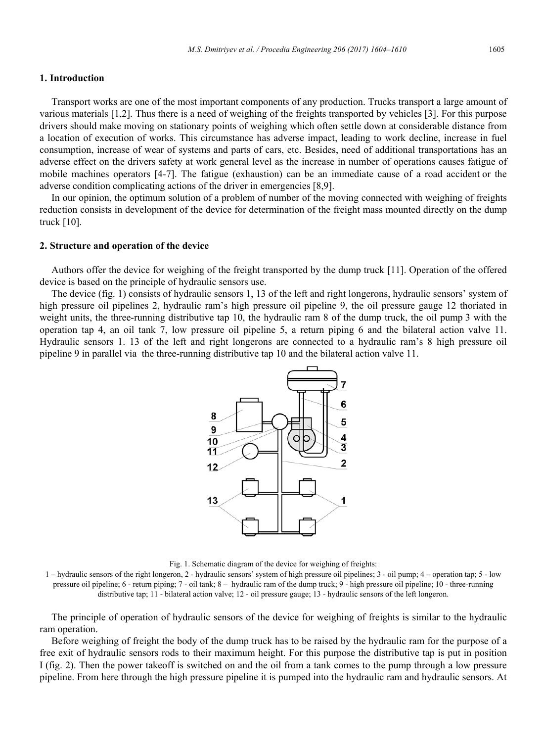#### **1. Introduction**

Transport works are one of the most important components of any production. Trucks transport a large amount of various materials [1,2]. Thus there is a need of weighing of the freights transported by vehicles [3]. For this purpose drivers should make moving on stationary points of weighing which often settle down at considerable distance from a location of execution of works. This circumstance has adverse impact, leading to work decline, increase in fuel consumption, increase of wear of systems and parts of cars, etc. Besides, need of additional transportations has an adverse effect on the drivers safety at work general level as the increase in number of operations causes fatigue of mobile machines operators [4-7]. The fatigue (exhaustion) can be an immediate cause of a road accident or the adverse condition complicating actions of the driver in emergencies [8,9].

In our opinion, the optimum solution of a problem of number of the moving connected with weighing of freights reduction consists in development of the device for determination of the freight mass mounted directly on the dump truck [10].

#### **2. Structure and operation of the device**

Authors offer the device for weighing of the freight transported by the dump truck [11]. Operation of the offered device is based on the principle of hydraulic sensors use.

The device (fig. 1) consists of hydraulic sensors 1, 13 of the left and right longerons, hydraulic sensors' system of high pressure oil pipelines 2, hydraulic ram's high pressure oil pipeline 9, the oil pressure gauge 12 thoriated in weight units, the three-running distributive tap 10, the hydraulic ram 8 of the dump truck, the oil pump 3 with the operation tap 4, an oil tank 7, low pressure oil pipeline 5, a return piping 6 and the bilateral action valve 11. Hydraulic sensors 1. 13 of the left and right longerons are connected to a hydraulic ram's 8 high pressure oil pipeline 9 in parallel via the three-running distributive tap 10 and the bilateral action valve 11.



Fig. 1. Schematic diagram of the device for weighing of freights:

1 – hydraulic sensors of the right longeron, 2 - hydraulic sensors' system of high pressure oil pipelines; 3 - oil pump; 4 – operation tap; 5 - low pressure oil pipeline; 6 - return piping; 7 - oil tank; 8 – hydraulic ram of the dump truck; 9 - high pressure oil pipeline; 10 - three-running distributive tap; 11 - bilateral action valve; 12 - oil pressure gauge; 13 - hydraulic sensors of the left longeron.

The principle of operation of hydraulic sensors of the device for weighing of freights is similar to the hydraulic ram operation.

Before weighing of freight the body of the dump truck has to be raised by the hydraulic ram for the purpose of a free exit of hydraulic sensors rods to their maximum height. For this purpose the distributive tap is put in position I (fig. 2). Then the power takeoff is switched on and the oil from a tank comes to the pump through a low pressure pipeline. From here through the high pressure pipeline it is pumped into the hydraulic ram and hydraulic sensors. At